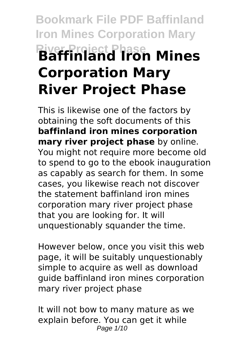# **Bookmark File PDF Baffinland Iron Mines Corporation Mary River Project Phase Baffinland Iron Mines Corporation Mary River Project Phase**

This is likewise one of the factors by obtaining the soft documents of this **baffinland iron mines corporation mary river project phase** by online. You might not require more become old to spend to go to the ebook inauguration as capably as search for them. In some cases, you likewise reach not discover the statement baffinland iron mines corporation mary river project phase that you are looking for. It will unquestionably squander the time.

However below, once you visit this web page, it will be suitably unquestionably simple to acquire as well as download guide baffinland iron mines corporation mary river project phase

It will not bow to many mature as we explain before. You can get it while Page 1/10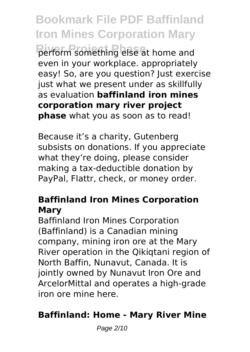**Bookmark File PDF Baffinland Iron Mines Corporation Mary River Project Phase** perform something else at home and even in your workplace. appropriately easy! So, are you question? Just exercise just what we present under as skillfully as evaluation **baffinland iron mines corporation mary river project phase** what you as soon as to read!

Because it's a charity, Gutenberg subsists on donations. If you appreciate what they're doing, please consider making a tax-deductible donation by PayPal, Flattr, check, or money order.

# **Baffinland Iron Mines Corporation Mary**

Baffinland Iron Mines Corporation (Baffinland) is a Canadian mining company, mining iron ore at the Mary River operation in the Qikiqtani region of North Baffin, Nunavut, Canada. It is jointly owned by Nunavut Iron Ore and ArcelorMittal and operates a high-grade iron ore mine here.

# **Baffinland: Home - Mary River Mine**

Page 2/10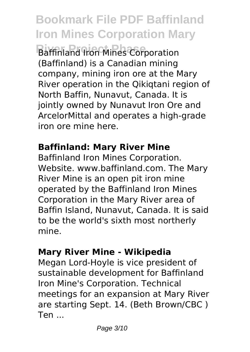**Bookmark File PDF Baffinland Iron Mines Corporation Mary**

**Raffinland Iron Mines Corporation** (Baffinland) is a Canadian mining company, mining iron ore at the Mary River operation in the Qikiqtani region of North Baffin, Nunavut, Canada. It is jointly owned by Nunavut Iron Ore and ArcelorMittal and operates a high-grade iron ore mine here.

## **Baffinland: Mary River Mine**

Baffinland Iron Mines Corporation. Website. www.baffinland.com. The Mary River Mine is an open pit iron mine operated by the Baffinland Iron Mines Corporation in the Mary River area of Baffin Island, Nunavut, Canada. It is said to be the world's sixth most northerly mine.

#### **Mary River Mine - Wikipedia**

Megan Lord-Hoyle is vice president of sustainable development for Baffinland Iron Mine's Corporation. Technical meetings for an expansion at Mary River are starting Sept. 14. (Beth Brown/CBC ) Ten ...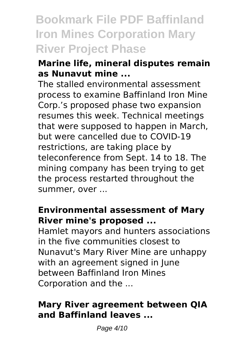# **Bookmark File PDF Baffinland Iron Mines Corporation Mary River Project Phase**

# **Marine life, mineral disputes remain as Nunavut mine ...**

The stalled environmental assessment process to examine Baffinland Iron Mine Corp.'s proposed phase two expansion resumes this week. Technical meetings that were supposed to happen in March, but were cancelled due to COVID-19 restrictions, are taking place by teleconference from Sept. 14 to 18. The mining company has been trying to get the process restarted throughout the summer, over ...

## **Environmental assessment of Mary River mine's proposed ...**

Hamlet mayors and hunters associations in the five communities closest to Nunavut's Mary River Mine are unhappy with an agreement signed in lune between Baffinland Iron Mines Corporation and the ...

# **Mary River agreement between QIA and Baffinland leaves ...**

Page 4/10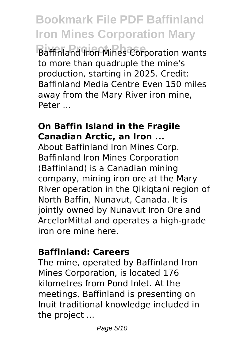**Bookmark File PDF Baffinland Iron Mines Corporation Mary Raffinland Iron Mines Corporation wants** to more than quadruple the mine's production, starting in 2025. Credit: Baffinland Media Centre Even 150 miles away from the Mary River iron mine, Peter ...

### **On Baffin Island in the Fragile Canadian Arctic, an Iron ...**

About Baffinland Iron Mines Corp. Baffinland Iron Mines Corporation (Baffinland) is a Canadian mining company, mining iron ore at the Mary River operation in the Qikiqtani region of North Baffin, Nunavut, Canada. It is jointly owned by Nunavut Iron Ore and ArcelorMittal and operates a high-grade iron ore mine here.

#### **Baffinland: Careers**

The mine, operated by Baffinland Iron Mines Corporation, is located 176 kilometres from Pond Inlet. At the meetings, Baffinland is presenting on Inuit traditional knowledge included in the project ...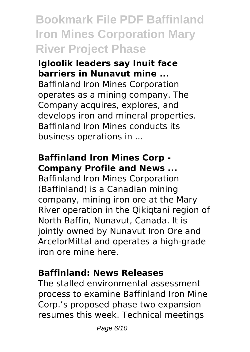# **Bookmark File PDF Baffinland Iron Mines Corporation Mary River Project Phase**

**Igloolik leaders say Inuit face barriers in Nunavut mine ...** Baffinland Iron Mines Corporation operates as a mining company. The Company acquires, explores, and develops iron and mineral properties. Baffinland Iron Mines conducts its business operations in ...

# **Baffinland Iron Mines Corp - Company Profile and News ...**

Baffinland Iron Mines Corporation (Baffinland) is a Canadian mining company, mining iron ore at the Mary River operation in the Qikiqtani region of North Baffin, Nunavut, Canada. It is jointly owned by Nunavut Iron Ore and ArcelorMittal and operates a high-grade iron ore mine here.

# **Baffinland: News Releases**

The stalled environmental assessment process to examine Baffinland Iron Mine Corp.'s proposed phase two expansion resumes this week. Technical meetings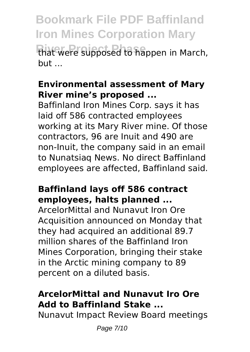**Bookmark File PDF Baffinland Iron Mines Corporation Mary** *River Ripposed to happen in March,* but ...

# **Environmental assessment of Mary River mine's proposed ...**

Baffinland Iron Mines Corp. says it has laid off 586 contracted employees working at its Mary River mine. Of those contractors, 96 are Inuit and 490 are non-Inuit, the company said in an email to Nunatsiaq News. No direct Baffinland employees are affected, Baffinland said.

## **Baffinland lays off 586 contract employees, halts planned ...**

ArcelorMittal and Nunavut Iron Ore Acquisition announced on Monday that they had acquired an additional 89.7 million shares of the Baffinland Iron Mines Corporation, bringing their stake in the Arctic mining company to 89 percent on a diluted basis.

# **ArcelorMittal and Nunavut Iro Ore Add to Baffinland Stake ...**

Nunavut Impact Review Board meetings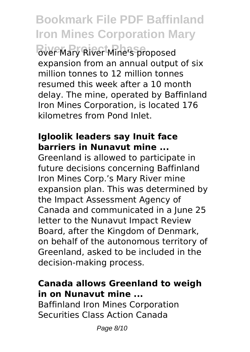**Bookmark File PDF Baffinland Iron Mines Corporation Mary River Project Phase** over Mary River Mine's proposed expansion from an annual output of six million tonnes to 12 million tonnes resumed this week after a 10 month delay. The mine, operated by Baffinland Iron Mines Corporation, is located 176 kilometres from Pond Inlet.

#### **Igloolik leaders say Inuit face barriers in Nunavut mine ...**

Greenland is allowed to participate in future decisions concerning Baffinland Iron Mines Corp.'s Mary River mine expansion plan. This was determined by the Impact Assessment Agency of Canada and communicated in a June 25 letter to the Nunavut Impact Review Board, after the Kingdom of Denmark, on behalf of the autonomous territory of Greenland, asked to be included in the decision-making process.

#### **Canada allows Greenland to weigh in on Nunavut mine ...**

Baffinland Iron Mines Corporation Securities Class Action Canada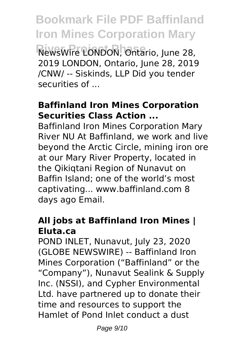**Bookmark File PDF Baffinland Iron Mines Corporation Mary River Project Phase** NewsWire LONDON, Ontario, June 28, 2019 LONDON, Ontario, June 28, 2019 /CNW/ -- Siskinds, LLP Did you tender securities of ...

# **Baffinland Iron Mines Corporation Securities Class Action ...**

Baffinland Iron Mines Corporation Mary River NU At Baffinland, we work and live beyond the Arctic Circle, mining iron ore at our Mary River Property, located in the Qikiqtani Region of Nunavut on Baffin Island; one of the world's most captivating... www.baffinland.com 8 days ago Email.

## **All jobs at Baffinland Iron Mines | Eluta.ca**

POND INLET, Nunavut, July 23, 2020 (GLOBE NEWSWIRE) -- Baffinland Iron Mines Corporation ("Baffinland" or the "Company"), Nunavut Sealink & Supply Inc. (NSSI), and Cypher Environmental Ltd. have partnered up to donate their time and resources to support the Hamlet of Pond Inlet conduct a dust